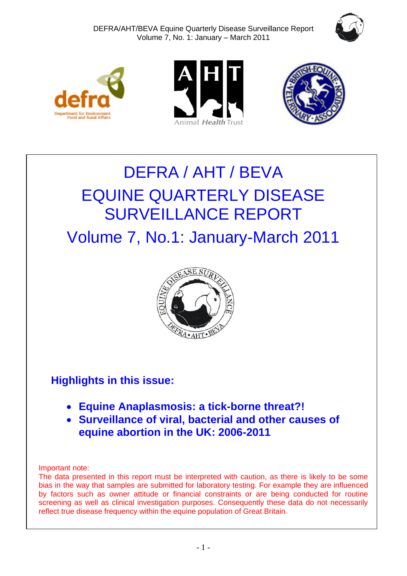







# DEFRA / AHT / BEVA EQUINE QUARTERLY DISEASE SURVEILLANCE REPORT

Volume 7, No.1: January-March 2011



# **Highlights in this issue:**

- **Equine Anaplasmosis: a tick-borne threat?!**
- **Surveillance of viral, bacterial and other causes of equine abortion in the UK: 2006-2011**

Important note:

The data presented in this report must be interpreted with caution, as there is likely to be some bias in the way that samples are submitted for laboratory testing. For example they are influenced by factors such as owner attitude or financial constraints or are being conducted for routine screening as well as clinical investigation purposes. Consequently these data do not necessarily reflect true disease frequency within the equine population of Great Britain.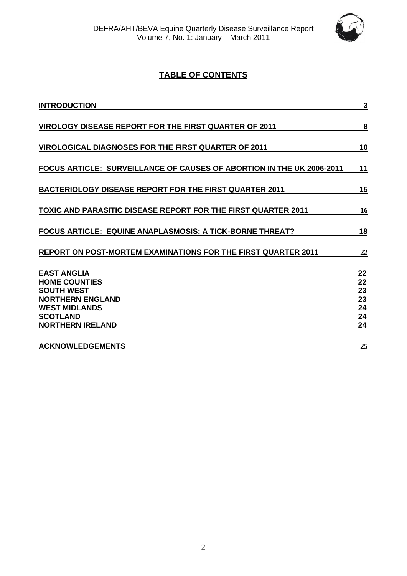

# **TABLE OF CONTENTS**

| <b>INTRODUCTION</b>                                                                                                                                              | 3                                      |
|------------------------------------------------------------------------------------------------------------------------------------------------------------------|----------------------------------------|
| <b>VIROLOGY DISEASE REPORT FOR THE FIRST QUARTER OF 2011</b>                                                                                                     | $\overline{\mathbf{8}}$                |
| <b>VIROLOGICAL DIAGNOSES FOR THE FIRST QUARTER OF 2011</b>                                                                                                       | 10                                     |
| <b>FOCUS ARTICLE: SURVEILLANCE OF CAUSES OF ABORTION IN THE UK 2006-2011</b>                                                                                     | 11                                     |
| <b>BACTERIOLOGY DISEASE REPORT FOR THE FIRST QUARTER 2011</b>                                                                                                    | <u> 15</u>                             |
| <b>TOXIC AND PARASITIC DISEASE REPORT FOR THE FIRST QUARTER 2011</b>                                                                                             | 16                                     |
| <b>FOCUS ARTICLE: EQUINE ANAPLASMOSIS: A TICK-BORNE THREAT?</b>                                                                                                  | 18                                     |
| REPORT ON POST-MORTEM EXAMINATIONS FOR THE FIRST QUARTER 2011                                                                                                    | 22                                     |
| <b>EAST ANGLIA</b><br><b>HOME COUNTIES</b><br><b>SOUTH WEST</b><br><b>NORTHERN ENGLAND</b><br><b>WEST MIDLANDS</b><br><b>SCOTLAND</b><br><b>NORTHERN IRELAND</b> | 22<br>22<br>23<br>23<br>24<br>24<br>24 |
| <b>ACKNOWLEDGEMENTS</b>                                                                                                                                          | 25                                     |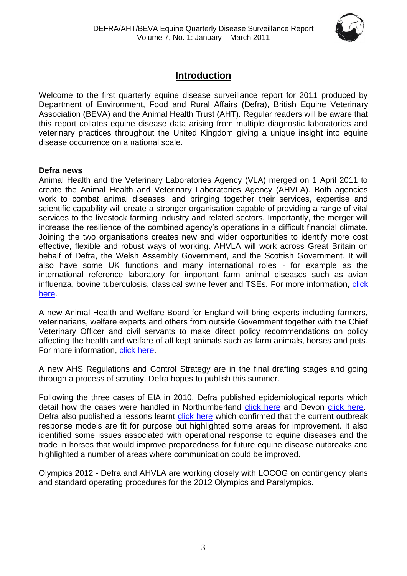

# **Introduction**

<span id="page-2-0"></span>Welcome to the first quarterly equine disease surveillance report for 2011 produced by Department of Environment, Food and Rural Affairs (Defra), British Equine Veterinary Association (BEVA) and the Animal Health Trust (AHT). Regular readers will be aware that this report collates equine disease data arising from multiple diagnostic laboratories and veterinary practices throughout the United Kingdom giving a unique insight into equine disease occurrence on a national scale.

## **Defra news**

Animal Health and the Veterinary Laboratories Agency (VLA) merged on 1 April 2011 to create the Animal Health and Veterinary Laboratories Agency (AHVLA). Both agencies work to combat animal diseases, and bringing together their services, expertise and scientific capability will create a stronger organisation capable of providing a range of vital services to the livestock farming industry and related sectors. Importantly, the merger will increase the resilience of the combined agency's operations in a difficult financial climate. Joining the two organisations creates new and wider opportunities to identify more cost effective, flexible and robust ways of working. AHVLA will work across Great Britain on behalf of Defra, the Welsh Assembly Government, and the Scottish Government. It will also have some UK functions and many international roles ‐ for example as the international reference laboratory for important farm animal diseases such as avian influenza, bovine tuberculosis, classical swine fever and TSEs. For more information, [click](http://www.defra.gov.uk/ahvla/files/110331-AHVLA-News-Release-Issue-Version.pdf)  [here.](http://www.defra.gov.uk/ahvla/files/110331-AHVLA-News-Release-Issue-Version.pdf)

A new Animal Health and Welfare Board for England will bring experts including farmers, veterinarians, welfare experts and others from outside Government together with the Chief Veterinary Officer and civil servants to make direct policy recommendations on policy affecting the health and welfare of all kept animals such as farm animals, horses and pets. For more information, [click here.](http://www.defra.gov.uk/news/2011/04/26/responsibility-animal-health/)

A new AHS Regulations and Control Strategy are in the final drafting stages and going through a process of scrutiny. Defra hopes to publish this summer.

Following the three cases of EIA in 2010, Defra published epidemiological reports which detail how the cases were handled in Northumberland [click here](http://archive.defra.gov.uk/foodfarm/farmanimal/diseases/atoz/documents/eia-northumberland.pdf) and Devon [click here.](http://archive.defra.gov.uk/foodfarm/farmanimal/diseases/atoz/documents/eia-devon.pdf) Defra also published a lessons learnt [click here](http://archive.defra.gov.uk/foodfarm/farmanimal/diseases/atoz/documents/eia-lessons-learned.pdf) which confirmed that the current outbreak response models are fit for purpose but highlighted some areas for improvement. It also identified some issues associated with operational response to equine diseases and the trade in horses that would improve preparedness for future equine disease outbreaks and highlighted a number of areas where communication could be improved.

Olympics 2012 - Defra and AHVLA are working closely with LOCOG on contingency plans and standard operating procedures for the 2012 Olympics and Paralympics.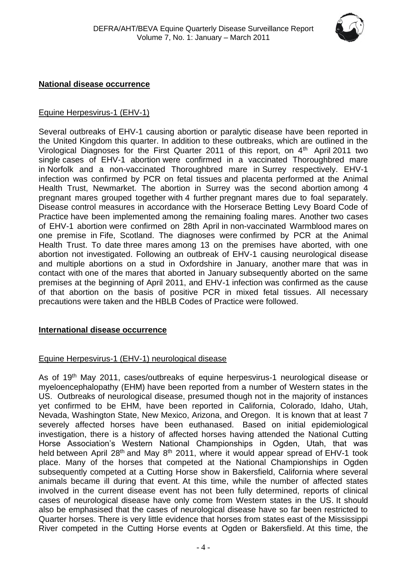

#### **National disease occurrence**

#### Equine Herpesvirus-1 (EHV-1)

Several outbreaks of EHV-1 causing abortion or paralytic disease have been reported in the United Kingdom this quarter. In addition to these outbreaks, which are outlined in the Virological Diagnoses for the First Quarter 2011 of this report, on 4<sup>th</sup> April 2011 two single cases of EHV-1 abortion were confirmed in a vaccinated Thoroughbred mare in Norfolk and a non-vaccinated Thoroughbred mare in Surrey respectively. EHV-1 infection was confirmed by PCR on fetal tissues and placenta performed at the Animal Health Trust, Newmarket. The abortion in Surrey was the second abortion among 4 pregnant mares grouped together with 4 further pregnant mares due to foal separately. Disease control measures in accordance with the Horserace Betting Levy Board Code of Practice have been implemented among the remaining foaling mares. Another two cases of EHV-1 abortion were confirmed on 28th April in non-vaccinated Warmblood mares on one premise in Fife, Scotland. The diagnoses were confirmed by PCR at the Animal Health Trust. To date three mares among 13 on the premises have aborted, with one abortion not investigated. Following an outbreak of EHV-1 causing neurological disease and multiple abortions on a stud in Oxfordshire in January, another mare that was in contact with one of the mares that aborted in January subsequently aborted on the same premises at the beginning of April 2011, and EHV-1 infection was confirmed as the cause of that abortion on the basis of positive PCR in mixed fetal tissues. All necessary precautions were taken and the HBLB Codes of Practice were followed.

#### **International disease occurrence**

#### Equine Herpesvirus-1 (EHV-1) neurological disease

As of 19<sup>th</sup> May 2011, cases/outbreaks of equine herpesvirus-1 neurological disease or myeloencephalopathy (EHM) have been reported from a number of Western states in the US. Outbreaks of neurological disease, presumed though not in the majority of instances yet confirmed to be EHM, have been reported in California, Colorado, Idaho, Utah, Nevada, Washington State, New Mexico, Arizona, and Oregon. It is known that at least 7 severely affected horses have been euthanased. Based on initial epidemiological investigation, there is a history of affected horses having attended the National Cutting Horse Association's Western National Championships in Ogden, Utah, that was held between April 28<sup>th</sup> and May 8<sup>th</sup> 2011, where it would appear spread of EHV-1 took place. Many of the horses that competed at the National Championships in Ogden subsequently competed at a Cutting Horse show in Bakersfield, California where several animals became ill during that event. At this time, while the number of affected states involved in the current disease event has not been fully determined, reports of clinical cases of neurological disease have only come from Western states in the US. It should also be emphasised that the cases of neurological disease have so far been restricted to Quarter horses. There is very little evidence that horses from states east of the Mississippi River competed in the Cutting Horse events at Ogden or Bakersfield. At this time, the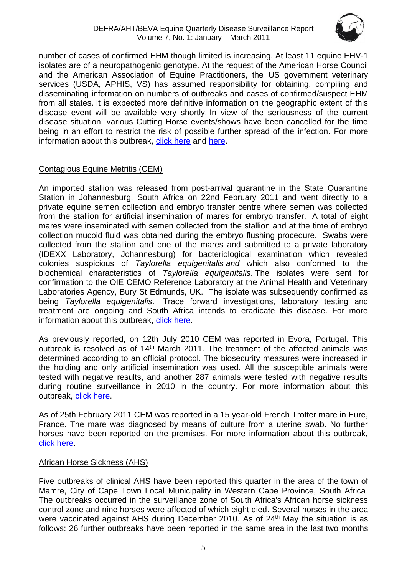

number of cases of confirmed EHM though limited is increasing. At least 11 equine EHV-1 isolates are of a neuropathogenic genotype. At the request of the American Horse Council and the American Association of Equine Practitioners, the US government veterinary services (USDA, APHIS, VS) has assumed responsibility for obtaining, compiling and disseminating information on numbers of outbreaks and cases of confirmed/suspect EHM from all states. It is expected more definitive information on the geographic extent of this disease event will be available very shortly. In view of the seriousness of the current disease situation, various Cutting Horse events/shows have been cancelled for the time being in an effort to restrict the risk of possible further spread of the infection. For more information about this outbreak, [click here](http://www.kyagr.com/statevet/equine) and [here.](http://www.horsetalk.co.nz/news/2011/05/188.shtml)

# Contagious Equine Metritis (CEM)

An imported stallion was released from post-arrival quarantine in the State Quarantine Station in Johannesburg, South Africa on 22nd February 2011 and went directly to a private equine semen collection and embryo transfer centre where semen was collected from the stallion for artificial insemination of mares for embryo transfer. A total of eight mares were inseminated with semen collected from the stallion and at the time of embryo collection mucoid fluid was obtained during the embryo flushing procedure. Swabs were collected from the stallion and one of the mares and submitted to a private laboratory (IDEXX Laboratory, Johannesburg) for bacteriological examination which revealed colonies suspicious of *Taylorella equigenitalis and* which also conformed to the biochemical characteristics of *Taylorella equigenitalis*. The isolates were sent for confirmation to the OIE CEMO Reference Laboratory at the Animal Health and Veterinary Laboratories Agency, Bury St Edmunds, UK. The isolate was subsequently confirmed as being *Taylorella equigenitalis*. Trace forward investigations, laboratory testing and treatment are ongoing and South Africa intends to eradicate this disease. For more information about this outbreak, [click here.](http://web.oie.int/wahis/public.php?page=single_report&pop=1&reportid=10553)

As previously reported, on 12th July 2010 CEM was reported in Evora, Portugal. This outbreak is resolved as of 14<sup>th</sup> March 2011. The treatment of the affected animals was determined according to an official protocol. The biosecurity measures were increased in the holding and only artificial insemination was used. All the susceptible animals were tested with negative results, and another 287 animals were tested with negative results during routine surveillance in 2010 in the country. For more information about this outbreak, [click here.](http://www.respe.net/alerteall)

As of 25th February 2011 CEM was reported in a 15 year-old French Trotter mare in Eure, France. The mare was diagnosed by means of culture from a uterine swab. No further horses have been reported on the premises. For more information about this outbreak, [click here.](http://www.respe.net/alerteall)

## African Horse Sickness (AHS)

Five outbreaks of clinical AHS have been reported this quarter in the area of the town of Mamre, City of Cape Town Local Municipality in Western Cape Province, South Africa. The outbreaks occurred in the surveillance zone of South Africa's African horse sickness control zone and nine horses were affected of which eight died. Several horses in the area were vaccinated against AHS during December 2010. As of 24<sup>th</sup> May the situation is as follows: 26 further outbreaks have been reported in the same area in the last two months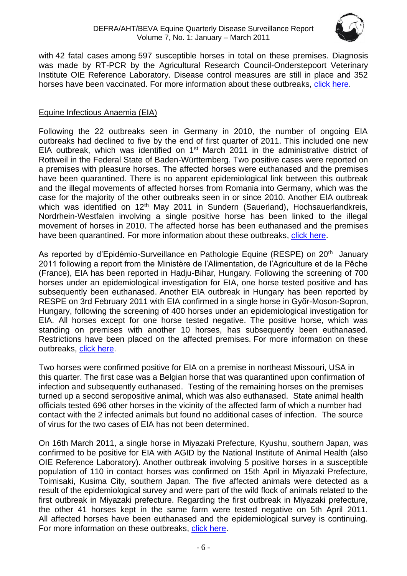

with 42 fatal cases among 597 susceptible horses in total on these premises. Diagnosis was made by RT-PCR by the Agricultural Research Council-Onderstepoort Veterinary Institute OIE Reference Laboratory. Disease control measures are still in place and 352 horses have been vaccinated. For more information about these outbreaks, [click here.](http://web.oie.int/wahis/public.php?page=single_report&pop=1&reportid=10591)

# Equine Infectious Anaemia (EIA)

Following the 22 outbreaks seen in Germany in 2010, the number of ongoing EIA outbreaks had declined to five by the end of first quarter of 2011. This included one new EIA outbreak, which was identified on 1<sup>st</sup> March 2011 in the administrative district of Rottweil in the Federal State of Baden-Württemberg. Two positive cases were reported on a premises with pleasure horses. The affected horses were euthanased and the premises have been quarantined. There is no apparent epidemiological link between this outbreak and the illegal movements of affected horses from Romania into Germany, which was the case for the majority of the other outbreaks seen in or since 2010. Another EIA outbreak which was identified on 12<sup>th</sup> May 2011 in Sundern (Sauerland), Hochsauerlandkreis, Nordrhein-Westfalen involving a single positive horse has been linked to the illegal movement of horses in 2010. The affected horse has been euthanased and the premises have been quarantined. For more information about these outbreaks, [click here.](http://web.oie.int/wahis/public.php?page=single_report&pop=1&reportid=10571)

As reported by d'Epidémio-Surveillance en Pathologie Equine (RESPE) on 20<sup>th</sup> January 2011 following a report from the Ministère de l'Alimentation, de l'Agriculture et de la Pêche (France), EIA has been reported in Hadju-Bihar, Hungary. Following the screening of 700 horses under an epidemiological investigation for EIA, one horse tested positive and has subsequently been euthanased. Another EIA outbreak in Hungary has been reported by RESPE on 3rd February 2011 with EIA confirmed in a single horse in Gyõr-Moson-Sopron, Hungary, following the screening of 400 horses under an epidemiological investigation for EIA. All horses except for one horse tested negative. The positive horse, which was standing on premises with another 10 horses, has subsequently been euthanased. Restrictions have been placed on the affected premises. For more information on these outbreaks, [click here.](http://www.respe.net/alerteall)

Two horses were confirmed positive for EIA on a premise in northeast Missouri, USA in this quarter. The first case was a Belgian horse that was quarantined upon confirmation of infection and subsequently euthanased. Testing of the remaining horses on the premises turned up a second seropositive animal, which was also euthanased. State animal health officials tested 696 other horses in the vicinity of the affected farm of which a number had contact with the 2 infected animals but found no additional cases of infection. The source of virus for the two cases of EIA has not been determined.

On 16th March 2011, a single horse in Miyazaki Prefecture, Kyushu, southern Japan, was confirmed to be positive for EIA with AGID by the National Institute of Animal Health (also OIE Reference Laboratory). Another outbreak involving 5 positive horses in a susceptible population of 110 in contact horses was confirmed on 15th April in Miyazaki Prefecture, Toimisaki, Kusima City, southern Japan. The five affected animals were detected as a result of the epidemiological survey and were part of the wild flock of animals related to the first outbreak in Miyazaki prefecture. Regarding the first outbreak in Miyazaki prefecture, the other 41 horses kept in the same farm were tested negative on 5th April 2011. All affected horses have been euthanased and the epidemiological survey is continuing. For more information on these outbreaks, [click here.](http://web.oie.int/wahis/public.php?page=single_report&pop=1&reportid=10485)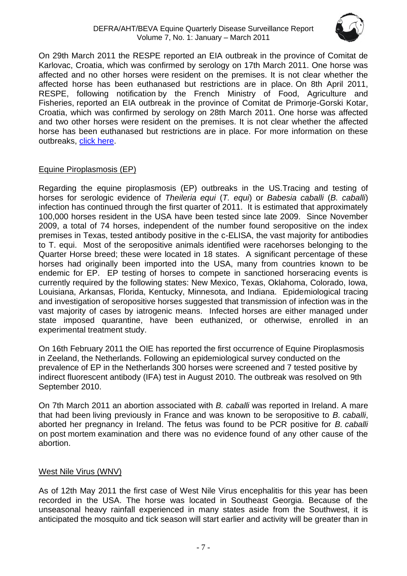

On 29th March 2011 the RESPE reported an EIA outbreak in the province of Comitat de Karlovac, Croatia, which was confirmed by serology on 17th March 2011. One horse was affected and no other horses were resident on the premises. It is not clear whether the affected horse has been euthanased but restrictions are in place. On 8th April 2011, RESPE, following notification by the French Ministry of Food, Agriculture and Fisheries, reported an EIA outbreak in the province of Comitat de Primorje-Gorski Kotar, Croatia, which was confirmed by serology on 28th March 2011. One horse was affected and two other horses were resident on the premises. It is not clear whether the affected horse has been euthanased but restrictions are in place. For more information on these outbreaks, [click here.](http://www.respe.net/alerteall)

# Equine Piroplasmosis (EP)

Regarding the equine piroplasmosis (EP) outbreaks in the US.Tracing and testing of horses for serologic evidence of *Theileria equi* (*T. equi*) or *Babesia caballi* (*B. caballi*) infection has continued through the first quarter of 2011. It is estimated that approximately 100,000 horses resident in the USA have been tested since late 2009. Since November 2009, a total of 74 horses, independent of the number found seropositive on the index premises in Texas, tested antibody positive in the c-ELISA, the vast majority for antibodies to T. equi. Most of the seropositive animals identified were racehorses belonging to the Quarter Horse breed; these were located in 18 states. A significant percentage of these horses had originally been imported into the USA, many from countries known to be endemic for EP. EP testing of horses to compete in sanctioned horseracing events is currently required by the following states: New Mexico, Texas, Oklahoma, Colorado, Iowa, Louisiana, Arkansas, Florida, Kentucky, Minnesota, and Indiana. Epidemiological tracing and investigation of seropositive horses suggested that transmission of infection was in the vast majority of cases by iatrogenic means. Infected horses are either managed under state imposed quarantine, have been euthanized, or otherwise, enrolled in an experimental treatment study.

On 16th February 2011 the OIE has reported the first occurrence of Equine Piroplasmosis in Zeeland, the Netherlands. Following an epidemiological survey conducted on the prevalence of EP in the Netherlands 300 horses were screened and 7 tested positive by indirect fluorescent antibody (IFA) test in August 2010. The outbreak was resolved on 9th September 2010.

On 7th March 2011 an abortion associated with *B. caballi* was reported in Ireland. A mare that had been living previously in France and was known to be seropositive to *B. caballi*, aborted her pregnancy in Ireland. The fetus was found to be PCR positive for *B. caballi* on post mortem examination and there was no evidence found of any other cause of the abortion.

## West Nile Virus (WNV)

As of 12th May 2011 the first case of West Nile Virus encephalitis for this year has been recorded in the USA. The horse was located in Southeast Georgia. Because of the unseasonal heavy rainfall experienced in many states aside from the Southwest, it is anticipated the mosquito and tick season will start earlier and activity will be greater than in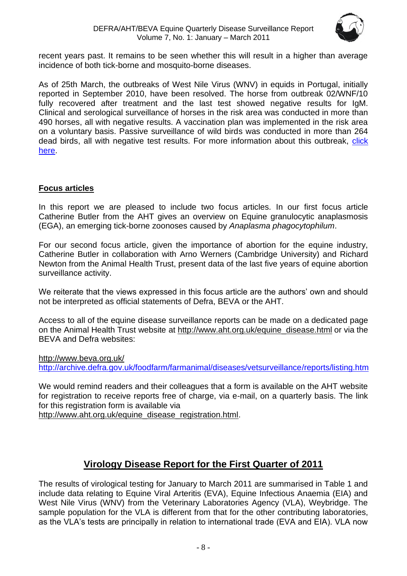

recent years past. It remains to be seen whether this will result in a higher than average incidence of both tick-borne and mosquito-borne diseases.

As of 25th March, the outbreaks of West Nile Virus (WNV) in equids in Portugal, initially reported in September 2010, have been resolved. The horse from outbreak 02/WNF/10 fully recovered after treatment and the last test showed negative results for IgM. Clinical and serological surveillance of horses in the risk area was conducted in more than 490 horses, all with negative results. A vaccination plan was implemented in the risk area on a voluntary basis. Passive surveillance of wild birds was conducted in more than 264 dead birds, all with negative test results. For more information about this outbreak, [click](http://web.oie.int/wahis/public.php?page=single_report&pop=1&reportid=10411)  [here.](http://web.oie.int/wahis/public.php?page=single_report&pop=1&reportid=10411)

# **Focus articles**

In this report we are pleased to include two focus articles. In our first focus article Catherine Butler from the AHT gives an overview on Equine granulocytic anaplasmosis (EGA), an emerging tick-borne zoonoses caused by *Anaplasma phagocytophilum*.

For our second focus article, given the importance of abortion for the equine industry, Catherine Butler in collaboration with Arno Werners (Cambridge University) and Richard Newton from the Animal Health Trust, present data of the last five years of equine abortion surveillance activity.

We reiterate that the views expressed in this focus article are the authors' own and should not be interpreted as official statements of Defra, BEVA or the AHT.

Access to all of the equine disease surveillance reports can be made on a dedicated page on the Animal Health Trust website at [http://www.aht.org.uk/equine\\_disease.html](http://www.aht.org.uk/equine_disease.html) or via the BEVA and Defra websites:

<http://www.beva.org.uk/> [http://archive.defra.gov.uk/foodfarm/farmanimal/diseases/vetsurveillance/](http://archive.defra.gov.uk/foodfarm/farmanimal/diseases/vetsurveillance)reports/listing.htm

We would remind readers and their colleagues that a form is available on the AHT website for registration to receive reports free of charge, via e-mail, on a quarterly basis. The link for this registration form is available via

[http://www.aht.org.uk/equine\\_disease\\_registration.html.](http://www.aht.org.uk/equine_disease_registration.html)

# **Virology Disease Report for the First Quarter of 2011**

The results of virological testing for January to March 2011 are summarised in Table 1 and include data relating to Equine Viral Arteritis (EVA), Equine Infectious Anaemia (EIA) and West Nile Virus (WNV) from the Veterinary Laboratories Agency (VLA), Weybridge. The sample population for the VLA is different from that for the other contributing laboratories, as the VLA's tests are principally in relation to international trade (EVA and EIA). VLA now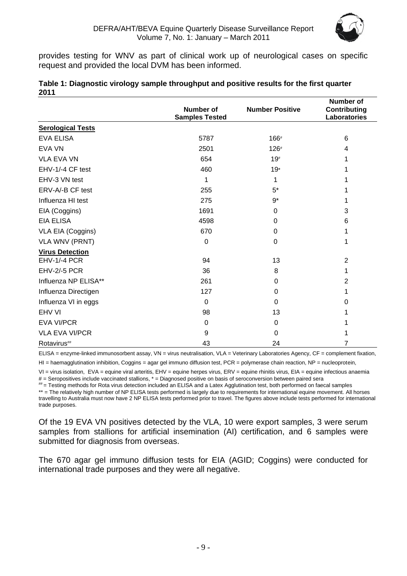

provides testing for WNV as part of clinical work up of neurological cases on specific request and provided the local DVM has been informed.

|                          | <b>Number of</b><br><b>Samples Tested</b> | <b>Number Positive</b> | <b>Number of</b><br><b>Contributing</b><br>Laboratories |
|--------------------------|-------------------------------------------|------------------------|---------------------------------------------------------|
| <b>Serological Tests</b> |                                           |                        |                                                         |
| <b>EVA ELISA</b>         | 5787                                      | 166#                   | 6                                                       |
| <b>EVA VN</b>            | 2501                                      | $126*$                 | 4                                                       |
| <b>VLA EVA VN</b>        | 654                                       | $19*$                  |                                                         |
| EHV-1/-4 CF test         | 460                                       | $19*$                  |                                                         |
| EHV-3 VN test            | 1                                         | 1                      |                                                         |
| ERV-A/-B CF test         | 255                                       | $5*$                   |                                                         |
| Influenza HI test        | 275                                       | $9*$                   |                                                         |
| EIA (Coggins)            | 1691                                      | 0                      | 3                                                       |
| <b>EIA ELISA</b>         | 4598                                      | 0                      | 6                                                       |
| VLA EIA (Coggins)        | 670                                       | $\Omega$               |                                                         |
| <b>VLA WNV (PRNT)</b>    | $\Omega$                                  | 0                      | 1                                                       |
| <b>Virus Detection</b>   |                                           |                        |                                                         |
| <b>EHV-1/-4 PCR</b>      | 94                                        | 13                     | $\overline{2}$                                          |
| <b>EHV-2/-5 PCR</b>      | 36                                        | 8                      | 1                                                       |
| Influenza NP ELISA**     | 261                                       | 0                      | 2                                                       |
| Influenza Directigen     | 127                                       | 0                      |                                                         |
| Influenza VI in eggs     | $\Omega$                                  | $\Omega$               | 0                                                       |
| EHV VI                   | 98                                        | 13                     |                                                         |
| <b>EVA VI/PCR</b>        | $\Omega$                                  | 0                      |                                                         |
| <b>VLA EVA VI/PCR</b>    | 9                                         | 0                      |                                                         |
| Rotavirus##              | 43                                        | 24                     | 7                                                       |

#### **Table 1: Diagnostic virology sample throughput and positive results for the first quarter 2011**

ELISA = enzyme-linked immunosorbent assay, VN = virus neutralisation, VLA = Veterinary Laboratories Agency, CF = complement fixation,

HI = haemagglutination inhibition, Coggins = agar gel immuno diffusion test, PCR = polymerase chain reaction, NP = nucleoprotein,

VI = virus isolation, EVA = equine viral arteritis, EHV = equine herpes virus, ERV = equine rhinitis virus, EIA = equine infectious anaemia  $#$  = Seropositives include vaccinated stallions,  $*$  = Diagnosed positive on basis of seroconversion between paired sera

## = Testing methods for Rota virus detection included an ELISA and a Latex Agglutination test, both performed on faecal samples

\*\* = The relatively high number of NP ELISA tests performed is largely due to requirements for international equine movement. All horses travelling to Australia must now have 2 NP ELISA tests performed prior to travel. The figures above include tests performed for international trade purposes.

Of the 19 EVA VN positives detected by the VLA, 10 were export samples, 3 were serum samples from stallions for artificial insemination (AI) certification, and 6 samples were submitted for diagnosis from overseas.

The 670 agar gel immuno diffusion tests for EIA (AGID; Coggins) were conducted for international trade purposes and they were all negative.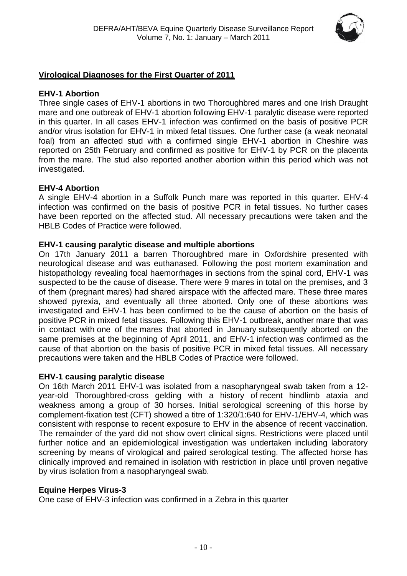

# **Virological Diagnoses for the First Quarter of 2011**

# **EHV-1 Abortion**

Three single cases of EHV-1 abortions in two Thoroughbred mares and one Irish Draught mare and one outbreak of EHV-1 abortion following EHV-1 paralytic disease were reported in this quarter. In all cases EHV-1 infection was confirmed on the basis of positive PCR and/or virus isolation for EHV-1 in mixed fetal tissues. One further case (a weak neonatal foal) from an affected stud with a confirmed single EHV-1 abortion in Cheshire was reported on 25th February and confirmed as positive for EHV-1 by PCR on the placenta from the mare. The stud also reported another abortion within this period which was not investigated.

# **EHV-4 Abortion**

A single EHV-4 abortion in a Suffolk Punch mare was reported in this quarter. EHV-4 infection was confirmed on the basis of positive PCR in fetal tissues. No further cases have been reported on the affected stud. All necessary precautions were taken and the HBLB Codes of Practice were followed.

# **EHV-1 causing paralytic disease and multiple abortions**

On 17th January 2011 a barren Thoroughbred mare in Oxfordshire presented with neurological disease and was euthanased. Following the post mortem examination and histopathology revealing focal haemorrhages in sections from the spinal cord, EHV-1 was suspected to be the cause of disease. There were 9 mares in total on the premises, and 3 of them (pregnant mares) had shared airspace with the affected mare. These three mares showed pyrexia, and eventually all three aborted. Only one of these abortions was investigated and EHV-1 has been confirmed to be the cause of abortion on the basis of positive PCR in mixed fetal tissues. Following this EHV-1 outbreak, another mare that was in contact with one of the mares that aborted in January subsequently aborted on the same premises at the beginning of April 2011, and EHV-1 infection was confirmed as the cause of that abortion on the basis of positive PCR in mixed fetal tissues. All necessary precautions were taken and the HBLB Codes of Practice were followed.

## **EHV-1 causing paralytic disease**

On 16th March 2011 EHV-1 was isolated from a nasopharyngeal swab taken from a 12 year-old Thoroughbred-cross gelding with a history of recent hindlimb ataxia and weakness among a group of 30 horses. Initial serological screening of this horse by complement-fixation test (CFT) showed a titre of 1:320/1:640 for EHV-1/EHV-4, which was consistent with response to recent exposure to EHV in the absence of recent vaccination. The remainder of the yard did not show overt clinical signs. Restrictions were placed until further notice and an epidemiological investigation was undertaken including laboratory screening by means of virological and paired serological testing. The affected horse has clinically improved and remained in isolation with restriction in place until proven negative by virus isolation from a nasopharyngeal swab.

## **Equine Herpes Virus-3**

One case of EHV-3 infection was confirmed in a Zebra in this quarter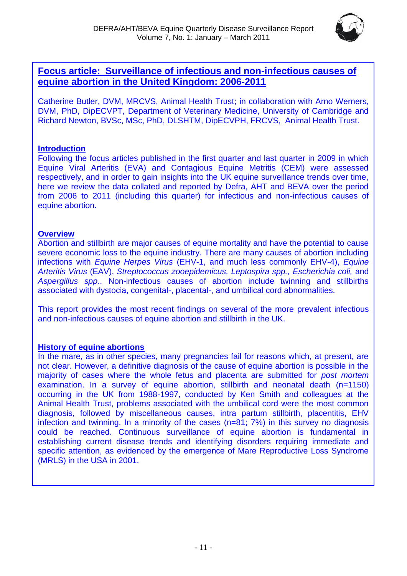

# **Focus article: Surveillance of infectious and non-infectious causes of equine abortion in the United Kingdom: 2006-2011**

Catherine Butler, DVM, MRCVS, Animal Health Trust; in collaboration with Arno Werners, DVM, PhD, DipECVPT, Department of Veterinary Medicine, University of Cambridge and Richard Newton, BVSc, MSc, PhD, DLSHTM, DipECVPH, FRCVS, Animal Health Trust.

## **Introduction**

Following the focus articles published in the first quarter and last quarter in 2009 in which Equine Viral Arteritis (EVA) and Contagious Equine Metritis (CEM) were assessed respectively, and in order to gain insights into the UK equine surveillance trends over time, here we review the data collated and reported by Defra, AHT and BEVA over the period from 2006 to 2011 (including this quarter) for infectious and non-infectious causes of equine abortion.

# **Overview**

Abortion and stillbirth are major causes of equine mortality and have the potential to cause severe economic loss to the equine industry. There are many causes of abortion including infections with *Equine Herpes Virus* (EHV-1, and much less commonly EHV-4), *Equine Arteritis Virus* (EAV), *Streptococcus zooepidemicus, Leptospira spp., Escherichia coli,* and *Aspergillus spp.*. Non-infectious causes of abortion include twinning and stillbirths associated with dystocia, congenital-, placental-, and umbilical cord abnormalities.

This report provides the most recent findings on several of the more prevalent infectious and non-infectious causes of equine abortion and stillbirth in the UK.

# **History of equine abortions**

In the mare, as in other species, many pregnancies fail for reasons which, at present, are not clear. However, a definitive diagnosis of the cause of equine abortion is possible in the majority of cases where the whole fetus and placenta are submitted for *post mortem* examination. In a survey of equine abortion, stillbirth and neonatal death (n=1150) occurring in the UK from 1988-1997, conducted by Ken Smith and colleagues at the Animal Health Trust, problems associated with the umbilical cord were the most common diagnosis, followed by miscellaneous causes, intra partum stillbirth, placentitis, EHV infection and twinning. In a minority of the cases (n=81; 7%) in this survey no diagnosis could be reached. Continuous surveillance of equine abortion is fundamental in establishing current disease trends and identifying disorders requiring immediate and specific attention, as evidenced by the emergence of Mare Reproductive Loss Syndrome (MRLS) in the USA in 2001.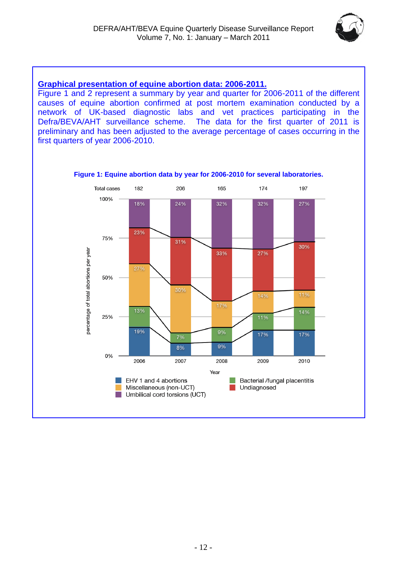

#### **Graphical presentation of equine abortion data: 2006-2011.**

Figure 1 and 2 represent a summary by year and quarter for 2006-2011 of the different causes of equine abortion confirmed at post mortem examination conducted by a network of UK-based diagnostic labs and vet practices participating in the Defra/BEVA/AHT surveillance scheme. The data for the first quarter of 2011 is preliminary and has been adjusted to the average percentage of cases occurring in the first quarters of year 2006-2010.



#### **Figure 1: Equine abortion data by year for 2006-2010 for several laboratories.**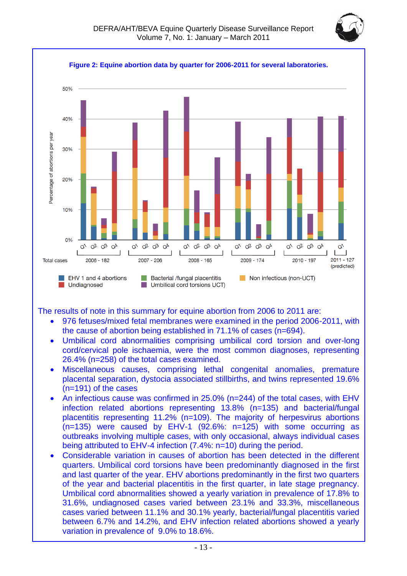



The results of note in this summary for equine abortion from 2006 to 2011 are:

- 976 fetuses/mixed fetal membranes were examined in the period 2006-2011, with the cause of abortion being established in 71.1% of cases (n=694).
- Umbilical cord abnormalities comprising umbilical cord torsion and over-long cord/cervical pole ischaemia, were the most common diagnoses, representing 26.4% (n=258) of the total cases examined.
- Miscellaneous causes, comprising lethal congenital anomalies, premature placental separation, dystocia associated stillbirths, and twins represented 19.6% (n=191) of the cases
- An infectious cause was confirmed in 25.0% (n=244) of the total cases, with EHV infection related abortions representing 13.8% (n=135) and bacterial/fungal placentitis representing 11.2% (n=109). The majority of herpesvirus abortions (n=135) were caused by EHV-1 (92.6%: n=125) with some occurring as outbreaks involving multiple cases, with only occasional, always individual cases being attributed to EHV-4 infection (7.4%: n=10) during the period.
- Considerable variation in causes of abortion has been detected in the different quarters. Umbilical cord torsions have been predominantly diagnosed in the first and last quarter of the year. EHV abortions predominantly in the first two quarters of the year and bacterial placentitis in the first quarter, in late stage pregnancy. Umbilical cord abnormalities showed a yearly variation in prevalence of 17.8% to 31.6%, undiagnosed cases varied between 23.1% and 33.3%, miscellaneous cases varied between 11.1% and 30.1% yearly, bacterial/fungal placentitis varied between 6.7% and 14.2%, and EHV infection related abortions showed a yearly variation in prevalence of 9.0% to 18.6%.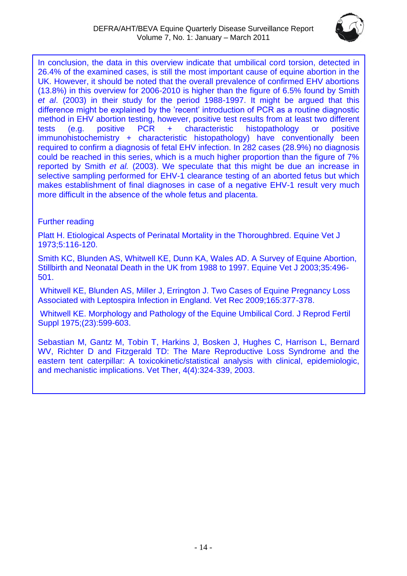

In conclusion, the data in this overview indicate that umbilical cord torsion, detected in 26.4% of the examined cases, is still the most important cause of equine abortion in the UK. However, it should be noted that the overall prevalence of confirmed EHV abortions (13.8%) in this overview for 2006-2010 is higher than the figure of 6.5% found by Smith *et al*. (2003) in their study for the period 1988-1997. It might be argued that this difference might be explained by the 'recent' introduction of PCR as a routine diagnostic method in EHV abortion testing, however, positive test results from at least two different tests (e.g. positive PCR + characteristic histopathology or positive immunohistochemistry + characteristic histopathology) have conventionally been required to confirm a diagnosis of fetal EHV infection. In 282 cases (28.9%) no diagnosis could be reached in this series, which is a much higher proportion than the figure of 7% reported by Smith *et al.* (2003). We speculate that this might be due an increase in selective sampling performed for EHV-1 clearance testing of an aborted fetus but which makes establishment of final diagnoses in case of a negative EHV-1 result very much more difficult in the absence of the whole fetus and placenta.

# Further reading

Platt H. Etiological Aspects of Perinatal Mortality in the Thoroughbred. Equine Vet J 1973;5:116-120.

Smith KC, Blunden AS, Whitwell KE, Dunn KA, Wales AD. A Survey of Equine Abortion, Stillbirth and Neonatal Death in the UK from 1988 to 1997. Equine Vet J 2003;35:496- 501.

Whitwell KE, Blunden AS, Miller J, Errington J. Two Cases of Equine Pregnancy Loss Associated with Leptospira Infection in England. Vet Rec 2009;165:377-378.

Whitwell KE. Morphology and Pathology of the Equine Umbilical Cord. J Reprod Fertil Suppl 1975;(23):599-603.

Sebastian M, Gantz M, Tobin T, Harkins J, Bosken J, Hughes C, Harrison L, Bernard WV, Richter D and Fitzgerald TD: The Mare Reproductive Loss Syndrome and the eastern tent caterpillar: A toxicokinetic/statistical analysis with clinical, epidemiologic, and mechanistic implications. Vet Ther, 4(4):324-339, 2003.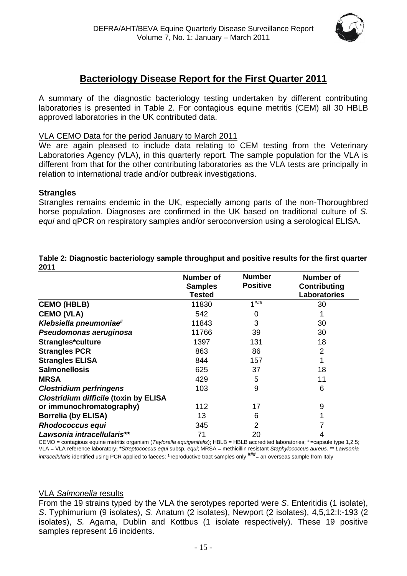

# **Bacteriology Disease Report for the First Quarter 2011**

A summary of the diagnostic bacteriology testing undertaken by different contributing laboratories is presented in Table 2. For contagious equine metritis (CEM) all 30 HBLB approved laboratories in the UK contributed data.

#### VLA CEMO Data for the period January to March 2011

We are again pleased to include data relating to CEM testing from the Veterinary Laboratories Agency (VLA), in this quarterly report. The sample population for the VLA is different from that for the other contributing laboratories as the VLA tests are principally in relation to international trade and/or outbreak investigations.

#### **Strangles**

Strangles remains endemic in the UK, especially among parts of the non-Thoroughbred horse population. Diagnoses are confirmed in the UK based on traditional culture of *S. equi* and qPCR on respiratory samples and/or seroconversion using a serological ELISA.

| LV I I                                       |                                              |                                  |                                                  |
|----------------------------------------------|----------------------------------------------|----------------------------------|--------------------------------------------------|
|                                              | <b>Number of</b><br><b>Samples</b><br>Tested | <b>Number</b><br><b>Positive</b> | <b>Number of</b><br>Contributing<br>Laboratories |
| <b>CEMO (HBLB)</b>                           | 11830                                        | 1###                             | 30                                               |
| <b>CEMO (VLA)</b>                            | 542                                          | 0                                |                                                  |
| Klebsiella pneumoniae <sup>#</sup>           | 11843                                        | 3                                | 30                                               |
| Pseudomonas aeruginosa                       | 11766                                        | 39                               | 30                                               |
| Strangles*culture                            | 1397                                         | 131                              | 18                                               |
| <b>Strangles PCR</b>                         | 863                                          | 86                               | 2                                                |
| <b>Strangles ELISA</b>                       | 844                                          | 157                              |                                                  |
| <b>Salmonellosis</b>                         | 625                                          | 37                               | 18                                               |
| <b>MRSA</b>                                  | 429                                          | 5                                | 11                                               |
| <b>Clostridium perfringens</b>               | 103                                          | 9                                | 6                                                |
| <b>Clostridium difficile (toxin by ELISA</b> |                                              |                                  |                                                  |
| or immunochromatography)                     | 112                                          | 17                               | 9                                                |
| <b>Borrelia (by ELISA)</b>                   | 13                                           | 6                                |                                                  |
| <b>Rhodococcus equi</b>                      | 345                                          | 2                                |                                                  |
| Lawsonia intracellularis**                   | 71                                           | 20                               | 4                                                |

#### **Table 2: Diagnostic bacteriology sample throughput and positive results for the first quarter 2011**

CEMO = contagious equine metritis organism (*Taylorella equigenitalis*); HBLB = HBLB accredited laboratories; #=capsule type 1,2,5; VLA = VLA reference laboratory**; \****Streptococcus equi* subsp*. equi*; MRSA = methicillin resistant *Staphylococcus aureus.* \*\* *Lawsonia*  intracellularis identified using PCR applied to faeces; <sup>1</sup> reproductive tract samples only  $\frac{$ \# #}{=} an overseas sample from Italy

#### VLA *Salmonella* results

From the 19 strains typed by the VLA the serotypes reported were *S*. Enteritidis (1 isolate), *S*. Typhimurium (9 isolates), *S*. Anatum (2 isolates), Newport (2 isolates), 4,5,12:I:-193 (2 isolates), *S.* Agama, Dublin and Kottbus (1 isolate respectively). These 19 positive samples represent 16 incidents.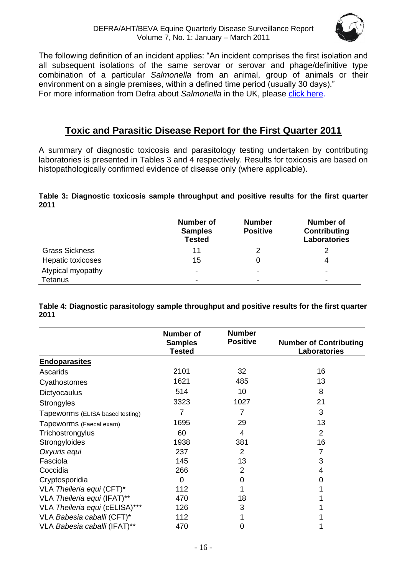

The following definition of an incident applies: "An incident comprises the first isolation and all subsequent isolations of the same serovar or serovar and phage/definitive type combination of a particular *Salmonella* from an animal, group of animals or their environment on a single premises, within a defined time period (usually 30 days)." For more information from Defra about *Salmonella* in the UK, please [click here.](http://www.defra.gov.uk/vla/reports/rep_salm_rep07.htm)

# **Toxic and Parasitic Disease Report for the First Quarter 2011**

A summary of diagnostic toxicosis and parasitology testing undertaken by contributing laboratories is presented in Tables 3 and 4 respectively. Results for toxicosis are based on histopathologically confirmed evidence of disease only (where applicable).

**Table 3: Diagnostic toxicosis sample throughput and positive results for the first quarter 2011**

|                       | <b>Number of</b><br><b>Samples</b><br><b>Tested</b> | <b>Number</b><br><b>Positive</b> | <b>Number of</b><br>Contributing<br><b>Laboratories</b> |
|-----------------------|-----------------------------------------------------|----------------------------------|---------------------------------------------------------|
| <b>Grass Sickness</b> | 11                                                  |                                  |                                                         |
| Hepatic toxicoses     | 15                                                  |                                  |                                                         |
| Atypical myopathy     | $\blacksquare$                                      | $\,$                             | $\overline{\phantom{a}}$                                |
| Tetanus               | $\overline{\phantom{a}}$                            | $\,$                             | $\blacksquare$                                          |

**Table 4: Diagnostic parasitology sample throughput and positive results for the first quarter 2011**

|                                 | <b>Number of</b><br><b>Samples</b><br><b>Tested</b> | <b>Number</b><br><b>Positive</b> | <b>Number of Contributing</b><br>Laboratories |
|---------------------------------|-----------------------------------------------------|----------------------------------|-----------------------------------------------|
| <b>Endoparasites</b>            |                                                     |                                  |                                               |
| Ascarids                        | 2101                                                | 32                               | 16                                            |
| Cyathostomes                    | 1621                                                | 485                              | 13                                            |
| Dictyocaulus                    | 514                                                 | 10                               | 8                                             |
| <b>Strongyles</b>               | 3323                                                | 1027                             | 21                                            |
| Tapeworms (ELISA based testing) | 7                                                   | 7                                | 3                                             |
| Tapeworms (Faecal exam)         | 1695                                                | 29                               | 13                                            |
| Trichostrongylus                | 60                                                  | 4                                | $\overline{2}$                                |
| Strongyloides                   | 1938                                                | 381                              | 16                                            |
| Oxyuris equi                    | 237                                                 | $\overline{2}$                   | 7                                             |
| Fasciola                        | 145                                                 | 13                               | 3                                             |
| Coccidia                        | 266                                                 | 2                                | 4                                             |
| Cryptosporidia                  | 0                                                   | 0                                | 0                                             |
| VLA Theileria equi (CFT)*       | 112                                                 |                                  |                                               |
| VLA Theileria equi (IFAT)**     | 470                                                 | 18                               |                                               |
| VLA Theileria equi (cELISA)***  | 126                                                 | 3                                |                                               |
| VLA Babesia caballi (CFT)*      | 112                                                 |                                  |                                               |
| VLA Babesia caballi (IFAT)**    | 470                                                 | 0                                |                                               |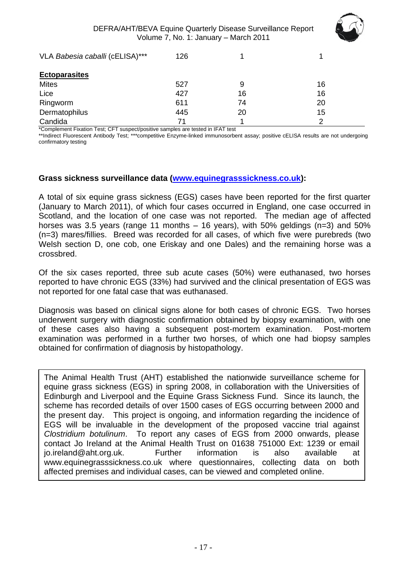

| VLA Babesia caballi (cELISA)*** | 126 |    |    |
|---------------------------------|-----|----|----|
| <b>Ectoparasites</b>            |     |    |    |
| <b>Mites</b>                    | 527 | 9  | 16 |
| Lice                            | 427 | 16 | 16 |
| Ringworm                        | 611 | 74 | 20 |
| Dermatophilus                   | 445 | 20 | 15 |
| Candida                         | 71  |    | ⌒  |

\*Complement Fixation Test; CFT suspect/positive samples are tested in IFAT test

\*\*Indirect Fluorescent Antibody Test; \*\*\*competitive Enzyme-linked immunosorbent assay; positive cELISA results are not undergoing confirmatory testing

#### **Grass sickness surveillance data [\(www.equinegrasssickness.co.uk\)](http://www.equinegrasssickness.co.uk/):**

A total of six equine grass sickness (EGS) cases have been reported for the first quarter (January to March 2011), of which four cases occurred in England, one case occurred in Scotland, and the location of one case was not reported. The median age of affected horses was 3.5 years (range 11 months – 16 years), with 50% geldings (n=3) and 50% (n=3) mares/fillies. Breed was recorded for all cases, of which five were purebreds (two Welsh section D, one cob, one Eriskay and one Dales) and the remaining horse was a crossbred.

Of the six cases reported, three sub acute cases (50%) were euthanased, two horses reported to have chronic EGS (33%) had survived and the clinical presentation of EGS was not reported for one fatal case that was euthanased.

Diagnosis was based on clinical signs alone for both cases of chronic EGS. Two horses underwent surgery with diagnostic confirmation obtained by biopsy examination, with one of these cases also having a subsequent post-mortem examination. Post-mortem examination was performed in a further two horses, of which one had biopsy samples obtained for confirmation of diagnosis by histopathology.

The Animal Health Trust (AHT) established the nationwide surveillance scheme for equine grass sickness (EGS) in spring 2008, in collaboration with the Universities of Edinburgh and Liverpool and the Equine Grass Sickness Fund. Since its launch, the scheme has recorded details of over 1500 cases of EGS occurring between 2000 and the present day. This project is ongoing, and information regarding the incidence of EGS will be invaluable in the development of the proposed vaccine trial against *Clostridium botulinum*. To report any cases of EGS from 2000 onwards, please contact Jo Ireland at the Animal Health Trust on 01638 751000 Ext: 1239 or email jo.ireland@aht.org.uk. Further information is also available at www.equinegrasssickness.co.uk where questionnaires, collecting data on both affected premises and individual cases, can be viewed and completed online.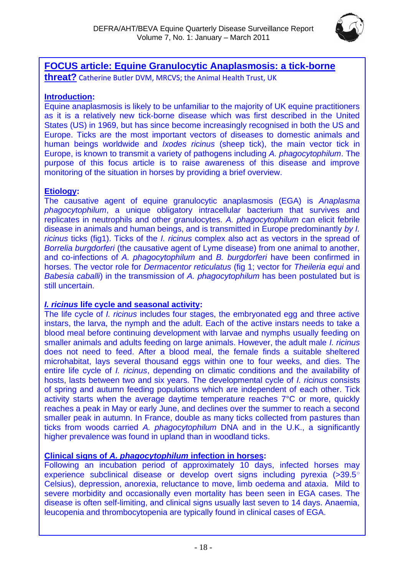

# **FOCUS article: Equine Granulocytic Anaplasmosis: a tick-borne**

**threat?** Catherine Butler DVM, MRCVS; the Animal Health Trust, UK

# **Introduction:**

Equine anaplasmosis is likely to be unfamiliar to the majority of UK equine practitioners as it is a relatively new tick-borne disease which was first described in the United States (US) in 1969, but has since become increasingly recognised in both the US and Europe. Ticks are the most important vectors of diseases to domestic animals and human beings worldwide and *Ixodes ricinus* (sheep tick), the main vector tick in Europe, is known to transmit a variety of pathogens including *A. phagocytophilum*. The purpose of this focus article is to raise awareness of this disease and improve monitoring of the situation in horses by providing a brief overview.

# **Etiology:**

The causative agent of equine granulocytic anaplasmosis (EGA) is *Anaplasma phagocytophilum*, a unique obligatory intracellular bacterium that survives and replicates in neutrophils and other granulocytes. *A. phagocytophilum* can elicit febrile disease in animals and human beings, and is transmitted in Europe predominantly *by I. ricinus* ticks (fig1). Ticks of the *I. ricinus* complex also act as vectors in the spread of *Borrelia burgdorferi* (the causative agent of Lyme disease) from one animal to another, and co-infections of *A. phagocytophilum* and *B. burgdorferi* have been confirmed in horses. The vector role for *Dermacentor reticulatus* (fig 1; vector for *Theileria equi* and *Babesia caballi*) in the transmission of *A. phagocytophilum* has been postulated but is still uncertain.

## *I. ricinus* **life cycle and seasonal activity:**

The life cycle of *I. ricinus* includes four stages, the embryonated egg and three active instars, the larva, the nymph and the adult. Each of the active instars needs to take a blood meal before continuing development with larvae and nymphs usually feeding on smaller animals and adults feeding on large animals. However, the adult male *I. ricinus* does not need to feed. After a blood meal, the female finds a suitable sheltered microhabitat, lays several thousand eggs within one to four weeks, and dies. The entire life cycle of *I. ricinus*, depending on climatic conditions and the availability of hosts, lasts between two and six years. The developmental cycle of *I. ricinus* consists of spring and autumn feeding populations which are independent of each other. Tick activity starts when the average daytime temperature reaches 7°C or more, quickly reaches a peak in May or early June, and declines over the summer to reach a second smaller peak in autumn. In France, double as many ticks collected from pastures than ticks from woods carried *A. phagocytophilum* DNA and in the U.K., a significantly higher prevalence was found in upland than in woodland ticks.

# **Clinical signs of** *A. phagocytophilum* **infection in horses:**

Following an incubation period of approximately 10 days, infected horses may experience subclinical disease or develop overt signs including pyrexia (>39.5° Celsius), depression, anorexia, reluctance to move, limb oedema and ataxia. Mild to severe morbidity and occasionally even mortality has been seen in EGA cases. The disease is often self-limiting, and clinical signs usually last seven to 14 days. Anaemia, leucopenia and thrombocytopenia are typically found in clinical cases of EGA.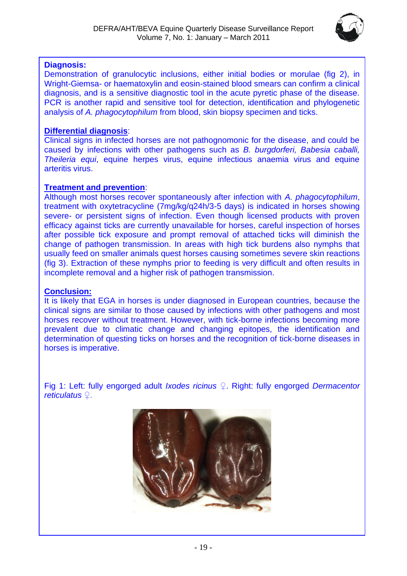

# **Diagnosis:**

Demonstration of granulocytic inclusions, either initial bodies or morulae (fig 2), in Wright-Giemsa- or haematoxylin and eosin-stained blood smears can confirm a clinical diagnosis, and is a sensitive diagnostic tool in the acute pyretic phase of the disease. PCR is another rapid and sensitive tool for detection, identification and phylogenetic analysis of *A. phagocytophilum* from blood, skin biopsy specimen and ticks.

# **Differential diagnosis**:

Clinical signs in infected horses are not pathognomonic for the disease, and could be caused by infections with other pathogens such as *B. burgdorferi, Babesia caballi, Theileria equi*, equine herpes virus, equine infectious anaemia virus and equine arteritis virus.

# **Treatment and prevention**:

Although most horses recover spontaneously after infection with *A. phagocytophilum*, treatment with oxytetracycline (7mg/kg/q24h/3-5 days) is indicated in horses showing severe- or persistent signs of infection. Even though licensed products with proven efficacy against ticks are currently unavailable for horses, careful inspection of horses after possible tick exposure and prompt removal of attached ticks will diminish the change of pathogen transmission. In areas with high tick burdens also nymphs that usually feed on smaller animals quest horses causing sometimes severe skin reactions (fig 3). Extraction of these nymphs prior to feeding is very difficult and often results in incomplete removal and a higher risk of pathogen transmission.

# **Conclusion:**

It is likely that EGA in horses is under diagnosed in European countries, because the clinical signs are similar to those caused by infections with other pathogens and most horses recover without treatment. However, with tick-borne infections becoming more prevalent due to climatic change and changing epitopes, the identification and determination of questing ticks on horses and the recognition of tick-borne diseases in horses is imperative.

Fig 1: Left: fully engorged adult *Ixodes ricinus* ♀. Right: fully engorged *Dermacentor reticulatus* ♀.

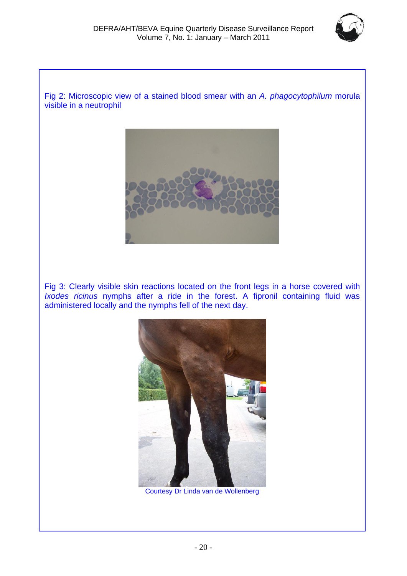

Fig 2: Microscopic view of a stained blood smear with an *A. phagocytophilum* morula visible in a neutrophil



Fig 3: Clearly visible skin reactions located on the front legs in a horse covered with *Ixodes ricinus* nymphs after a ride in the forest. A fipronil containing fluid was administered locally and the nymphs fell of the next day.



Courtesy Dr Linda van de Wollenberg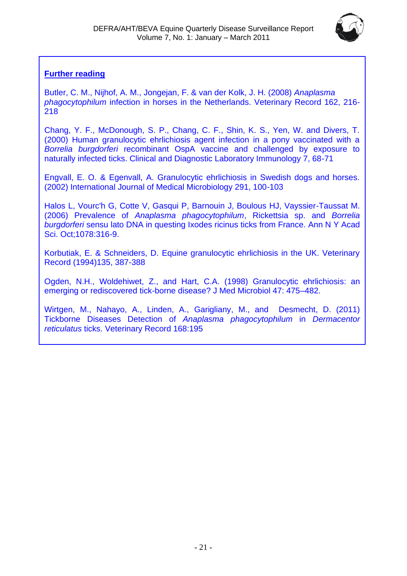

# **Further reading**

Butler, C. M., Nijhof, A. M., Jongejan, F. & van der Kolk, J. H. (2008) *Anaplasma phagocytophilum* infection in horses in the Netherlands. Veterinary Record 162, 216- 218

Chang, Y. F., McDonough, S. P., Chang, C. F., Shin, K. S., Yen, W. and Divers, T. (2000) Human granulocytic ehrlichiosis agent infection in a pony vaccinated with a *Borrelia burgdorferi* recombinant OspA vaccine and challenged by exposure to naturally infected ticks. Clinical and Diagnostic Laboratory Immunology 7, 68-71

Engvall, E. O. & Egenvall, A. Granulocytic ehrlichiosis in Swedish dogs and horses. (2002) International Journal of Medical Microbiology 291, 100-103

Halos L, Vourc'h G, Cotte V, Gasqui P, Barnouin J, Boulous HJ, Vayssier-Taussat M. (2006) Prevalence of *[Anaplasma phagocytophilum](http://www.ncbi.nlm.nih.gov/pubmed/17114729)*, Rickettsia sp. and *Borrelia burgdorferi* [sensu lato DNA in questing Ixodes ricinus ticks from France.](http://www.ncbi.nlm.nih.gov/pubmed/17114729) Ann N Y Acad Sci. Oct;1078:316-9.

Korbutiak, E. & Schneiders, D. Equine granulocytic ehrlichiosis in the UK. Veterinary Record (1994)135, 387-388

Ogden, N.H., Woldehiwet, Z., and Hart, C.A. (1998) Granulocytic ehrlichiosis: an emerging or rediscovered tick-borne disease? J Med Microbiol 47: 475–482.

[Wirtgen,](http://veterinaryrecord.bmj.com/search?author1=M.+Wirtgen&sortspec=date&submit=Submit) [M.](http://veterinaryrecord.bmj.com/content/168/7/195.full#aff-1#aff-1), [Nahayo,](http://veterinaryrecord.bmj.com/search?author1=A.+Nahayo&sortspec=date&submit=Submit) A., Linden, A., [Garigliany,](http://veterinaryrecord.bmj.com/search?author1=M.+Garigliany&sortspec=date&submit=Submit) M., and [Desmecht,](http://veterinaryrecord.bmj.com/search?author1=D.+Desmecht&sortspec=date&submit=Submit) D. (2011) Tickborne Diseases Detection of *Anaplasma phagocytophilum* in *Dermacentor reticulatus* ticks. Veterinary Record 168:195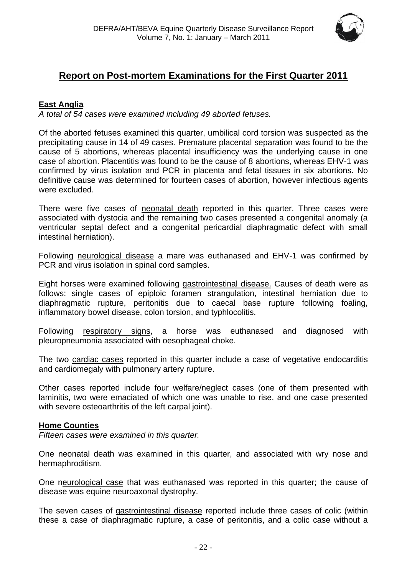

# **Report on Post-mortem Examinations for the First Quarter 2011**

# <span id="page-21-0"></span>**East Anglia**

*A total of 54 cases were examined including 49 aborted fetuses.*

Of the aborted fetuses examined this quarter, umbilical cord torsion was suspected as the precipitating cause in 14 of 49 cases. Premature placental separation was found to be the cause of 5 abortions, whereas placental insufficiency was the underlying cause in one case of abortion. Placentitis was found to be the cause of 8 abortions, whereas EHV-1 was confirmed by virus isolation and PCR in placenta and fetal tissues in six abortions. No definitive cause was determined for fourteen cases of abortion, however infectious agents were excluded.

There were five cases of neonatal death reported in this quarter. Three cases were associated with dystocia and the remaining two cases presented a congenital anomaly (a ventricular septal defect and a congenital pericardial diaphragmatic defect with small intestinal herniation).

Following neurological disease a mare was euthanased and EHV-1 was confirmed by PCR and virus isolation in spinal cord samples.

Eight horses were examined following gastrointestinal disease. Causes of death were as follows: single cases of epiploic foramen strangulation, intestinal herniation due to diaphragmatic rupture, peritonitis due to caecal base rupture following foaling, inflammatory bowel disease, colon torsion, and typhlocolitis.

Following respiratory signs, a horse was euthanased and diagnosed with pleuropneumonia associated with oesophageal choke.

The two cardiac cases reported in this quarter include a case of vegetative endocarditis and cardiomegaly with pulmonary artery rupture.

Other cases reported include four welfare/neglect cases (one of them presented with laminitis, two were emaciated of which one was unable to rise, and one case presented with severe osteoarthritis of the left carpal joint).

#### <span id="page-21-1"></span>**Home Counties**

*Fifteen cases were examined in this quarter.*

One neonatal death was examined in this quarter, and associated with wry nose and hermaphroditism.

One neurological case that was euthanased was reported in this quarter; the cause of disease was equine neuroaxonal dystrophy.

The seven cases of gastrointestinal disease reported include three cases of colic (within these a case of diaphragmatic rupture, a case of peritonitis, and a colic case without a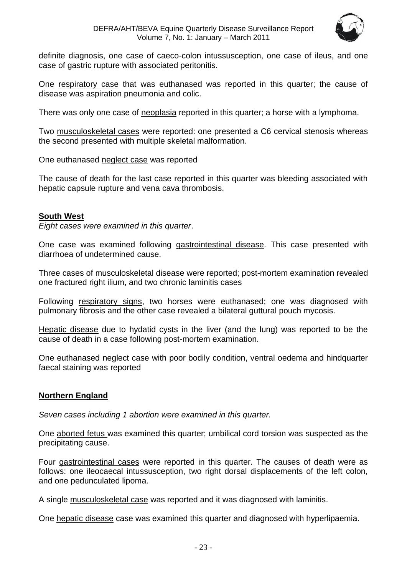

definite diagnosis, one case of caeco-colon intussusception, one case of ileus, and one case of gastric rupture with associated peritonitis.

One respiratory case that was euthanased was reported in this quarter; the cause of disease was aspiration pneumonia and colic.

There was only one case of neoplasia reported in this quarter; a horse with a lymphoma.

Two musculoskeletal cases were reported: one presented a C6 cervical stenosis whereas the second presented with multiple skeletal malformation.

One euthanased neglect case was reported

The cause of death for the last case reported in this quarter was bleeding associated with hepatic capsule rupture and vena cava thrombosis.

#### <span id="page-22-0"></span>**South West**

*Eight cases were examined in this quarter*.

One case was examined following gastrointestinal disease. This case presented with diarrhoea of undetermined cause.

Three cases of musculoskeletal disease were reported; post-mortem examination revealed one fractured right ilium, and two chronic laminitis cases

Following respiratory signs, two horses were euthanased; one was diagnosed with pulmonary fibrosis and the other case revealed a bilateral guttural pouch mycosis.

Hepatic disease due to hydatid cysts in the liver (and the lung) was reported to be the cause of death in a case following post-mortem examination.

One euthanased neglect case with poor bodily condition, ventral oedema and hindquarter faecal staining was reported

## <span id="page-22-1"></span>**Northern England**

*Seven cases including 1 abortion were examined in this quarter.*

One aborted fetus was examined this quarter; umbilical cord torsion was suspected as the precipitating cause.

Four gastrointestinal cases were reported in this quarter. The causes of death were as follows: one ileocaecal intussusception, two right dorsal displacements of the left colon, and one pedunculated lipoma.

A single musculoskeletal case was reported and it was diagnosed with laminitis.

One hepatic disease case was examined this quarter and diagnosed with hyperlipaemia.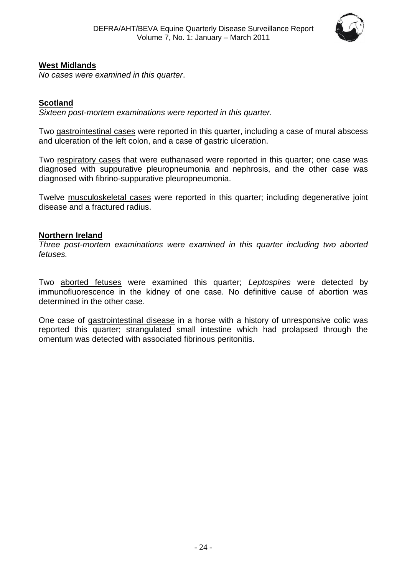

# <span id="page-23-0"></span>**West Midlands**

*No cases were examined in this quarter*.

# <span id="page-23-1"></span>**Scotland**

*Sixteen post-mortem examinations were reported in this quarter.* 

Two gastrointestinal cases were reported in this quarter, including a case of mural abscess and ulceration of the left colon, and a case of gastric ulceration.

Two respiratory cases that were euthanased were reported in this quarter; one case was diagnosed with suppurative pleuropneumonia and nephrosis, and the other case was diagnosed with fibrino-suppurative pleuropneumonia.

Twelve musculoskeletal cases were reported in this quarter; including degenerative joint disease and a fractured radius.

## <span id="page-23-2"></span>**Northern Ireland**

*Three post-mortem examinations were examined in this quarter including two aborted fetuses.*

Two aborted fetuses were examined this quarter; *Leptospires* were detected by immunofluorescence in the kidney of one case. No definitive cause of abortion was determined in the other case.

One case of gastrointestinal disease in a horse with a history of unresponsive colic was reported this quarter; strangulated small intestine which had prolapsed through the omentum was detected with associated fibrinous peritonitis.